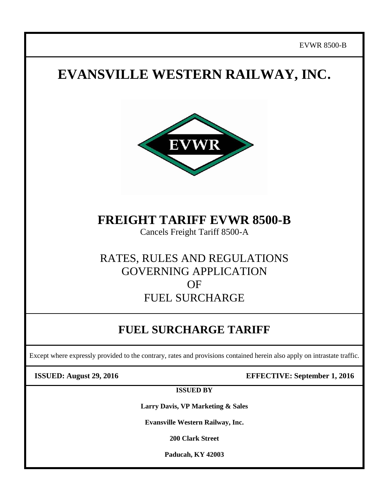# **EVANSVILLE WESTERN RAILWAY, INC.**



**FREIGHT TARIFF EVWR 8500-B**

Cancels Freight Tariff 8500-A

### RATES, RULES AND REGULATIONS GOVERNING APPLICATION **OF** FUEL SURCHARGE

## **FUEL SURCHARGE TARIFF**

Except where expressly provided to the contrary, rates and provisions contained herein also apply on intrastate traffic.

**ISSUED: August 29, 2016 EFFECTIVE: September 1, 2016**

**ISSUED BY**

**Larry Davis, VP Marketing & Sales**

**Evansville Western Railway, Inc.**

**200 Clark Street**

**Paducah, KY 42003**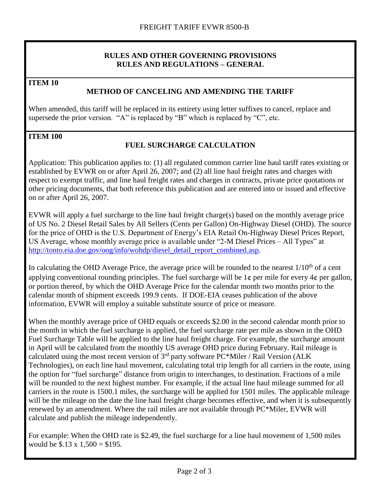#### **RULES AND OTHER GOVERNING PROVISIONS RULES AND REGULATIONS – GENERAL**

**ITEM 10**

#### **METHOD OF CANCELING AND AMENDING THE TARIFF**

When amended, this tariff will be replaced in its entirety using letter suffixes to cancel, replace and supersede the prior version. "A" is replaced by "B" which is replaced by "C", etc.

#### **ITEM 100**

### **FUEL SURCHARGE CALCULATION**

Application: This publication applies to: (1) all regulated common carrier line haul tariff rates existing or established by EVWR on or after April 26, 2007; and (2) all line haul freight rates and charges with respect to exempt traffic, and line haul freight rates and charges in contracts, private price quotations or other pricing documents, that both reference this publication and are entered into or issued and effective on or after April 26, 2007.

EVWR will apply a fuel surcharge to the line haul freight charge(s) based on the monthly average price of US No. 2 Diesel Retail Sales by All Sellers (Cents per Gallon) On-Highway Diesel (OHD). The source for the price of OHD is the U.S. Department of Energy's EIA Retail On-Highway Diesel Prices Report, US Average, whose monthly average price is available under "2-M Diesel Prices – All Types" at [http://tonto.eia.doe.gov/oog/info/wohdp/diesel\\_detail\\_report\\_combined.asp.](http://tonto.eia.doe.gov/oog/info/wohdp/diesel_detail_report_combined.asp)

In calculating the OHD Average Price, the average price will be rounded to the nearest  $1/10<sup>th</sup>$  of a cent applying conventional rounding principles. The fuel surcharge will be 1¢ per mile for every 4¢ per gallon, or portion thereof, by which the OHD Average Price for the calendar month two months prior to the calendar month of shipment exceeds 199.9 cents. If DOE-EIA ceases publication of the above information, EVWR will employ a suitable substitute source of price or measure.

When the monthly average price of OHD equals or exceeds \$2.00 in the second calendar month prior to the month in which the fuel surcharge is applied, the fuel surcharge rate per mile as shown in the OHD Fuel Surcharge Table will be applied to the line haul freight charge. For example, the surcharge amount in April will be calculated from the monthly US average OHD price during February. Rail mileage is calculated using the most recent version of  $3<sup>rd</sup>$  party software PC\*Miler / Rail Version (ALK Technologies), on each line haul movement, calculating total trip length for all carriers in the route, using the option for "fuel surcharge" distance from origin to interchanges, to destination. Fractions of a mile will be rounded to the next highest number. For example, if the actual line haul mileage summed for all carriers in the route is 1500.1 miles, the surcharge will be applied for 1501 miles. The applicable mileage will be the mileage on the date the line haul freight charge becomes effective, and when it is subsequently renewed by an amendment. Where the rail miles are not available through PC\*Miler, EVWR will calculate and publish the mileage independently.

For example: When the OHD rate is \$2.49, the fuel surcharge for a line haul movement of 1,500 miles would be  $$.13 \times 1,500 = $195$ .